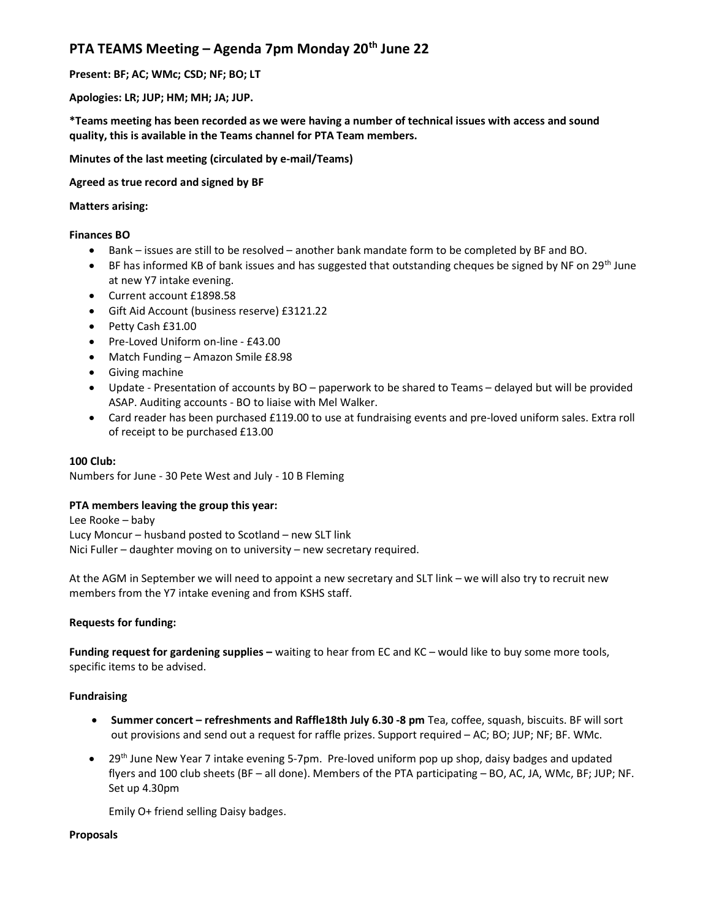# PTA TEAMS Meeting - Agenda 7pm Monday 20<sup>th</sup> June 22

Present: BF; AC; WMc; CSD; NF; BO; LT

Apologies: LR; JUP; HM; MH; JA; JUP.

\*Teams meeting has been recorded as we were having a number of technical issues with access and sound quality, this is available in the Teams channel for PTA Team members.

Minutes of the last meeting (circulated by e-mail/Teams)

Agreed as true record and signed by BF

## Matters arising:

## Finances BO

- Bank issues are still to be resolved another bank mandate form to be completed by BF and BO.
- $\bullet$  BF has informed KB of bank issues and has suggested that outstanding cheques be signed by NF on 29<sup>th</sup> June at new Y7 intake evening.
- Current account £1898.58
- Gift Aid Account (business reserve) £3121.22
- Petty Cash £31.00
- Pre-Loved Uniform on-line £43.00
- Match Funding Amazon Smile £8.98
- Giving machine
- Update Presentation of accounts by BO paperwork to be shared to Teams delayed but will be provided ASAP. Auditing accounts - BO to liaise with Mel Walker.
- Card reader has been purchased £119.00 to use at fundraising events and pre-loved uniform sales. Extra roll of receipt to be purchased £13.00

### 100 Club:

Numbers for June - 30 Pete West and July - 10 B Fleming

### PTA members leaving the group this year:

Lee Rooke – baby Lucy Moncur – husband posted to Scotland – new SLT link Nici Fuller – daughter moving on to university – new secretary required.

At the AGM in September we will need to appoint a new secretary and SLT link – we will also try to recruit new members from the Y7 intake evening and from KSHS staff.

### Requests for funding:

Funding request for gardening supplies – waiting to hear from EC and KC – would like to buy some more tools, specific items to be advised.

# Fundraising

- Summer concert refreshments and Raffle18th July 6.30 -8 pm Tea, coffee, squash, biscuits. BF will sort out provisions and send out a request for raffle prizes. Support required – AC; BO; JUP; NF; BF. WMc.
- 29<sup>th</sup> June New Year 7 intake evening 5-7pm. Pre-loved uniform pop up shop, daisy badges and updated flyers and 100 club sheets (BF – all done). Members of the PTA participating – BO, AC, JA, WMc, BF; JUP; NF. Set up 4.30pm

Emily O+ friend selling Daisy badges.

### Proposals